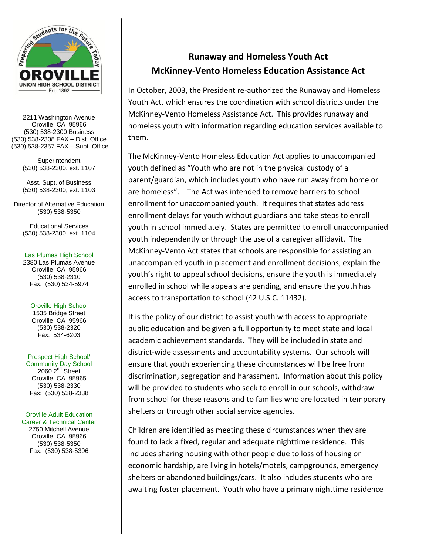

2211 Washington Avenue Oroville, CA 95966 (530) 538-2300 Business (530) 538-2308 FAX – Dist. Office (530) 538-2357 FAX – Supt. Office

> **Superintendent** (530) 538-2300, ext. 1107

> Asst. Supt. of Business (530) 538-2300, ext. 1103

Director of Alternative Education (530) 538-5350

Educational Services (530) 538-2300, ext. 1104

### Las Plumas High School

2380 Las Plumas Avenue Oroville, CA 95966 (530) 538-2310 Fax: (530) 534-5974

## Oroville High School

1535 Bridge Street Oroville, CA 95966 (530) 538-2320 Fax: 534-6203

## Prospect High School/

Community Day School  $2060$   $2^{nd}$  Street Oroville, CA 95965 (530) 538-2330 Fax: (530) 538-2338

## Oroville Adult Education

Career & Technical Center 2750 Mitchell Avenue Oroville, CA 95966 (530) 538-5350 Fax: (530) 538-5396

# **Runaway and Homeless Youth Act McKinney-Vento Homeless Education Assistance Act**

In October, 2003, the President re-authorized the Runaway and Homeless Youth Act, which ensures the coordination with school districts under the McKinney-Vento Homeless Assistance Act. This provides runaway and homeless youth with information regarding education services available to them.

The McKinney-Vento Homeless Education Act applies to unaccompanied youth defined as "Youth who are not in the physical custody of a parent/guardian, which includes youth who have run away from home or are homeless". The Act was intended to remove barriers to school enrollment for unaccompanied youth. It requires that states address enrollment delays for youth without guardians and take steps to enroll youth in school immediately. States are permitted to enroll unaccompanied youth independently or through the use of a caregiver affidavit. The McKinney-Vento Act states that schools are responsible for assisting an unaccompanied youth in placement and enrollment decisions, explain the youth's right to appeal school decisions, ensure the youth is immediately enrolled in school while appeals are pending, and ensure the youth has access to transportation to school (42 U.S.C. 11432).

It is the policy of our district to assist youth with access to appropriate public education and be given a full opportunity to meet state and local academic achievement standards. They will be included in state and district-wide assessments and accountability systems. Our schools will ensure that youth experiencing these circumstances will be free from discrimination, segregation and harassment. Information about this policy will be provided to students who seek to enroll in our schools, withdraw from school for these reasons and to families who are located in temporary shelters or through other social service agencies.

Children are identified as meeting these circumstances when they are found to lack a fixed, regular and adequate nighttime residence. This includes sharing housing with other people due to loss of housing or economic hardship, are living in hotels/motels, campgrounds, emergency shelters or abandoned buildings/cars. It also includes students who are awaiting foster placement. Youth who have a primary nighttime residence